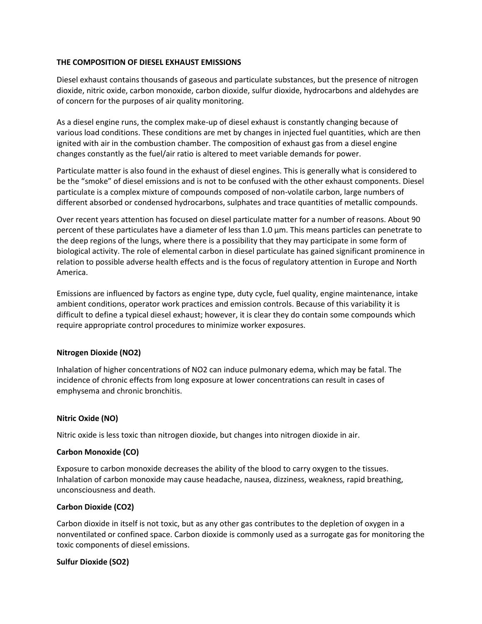### **THE COMPOSITION OF DIESEL EXHAUST EMISSIONS**

Diesel exhaust contains thousands of gaseous and particulate substances, but the presence of nitrogen dioxide, nitric oxide, carbon monoxide, carbon dioxide, sulfur dioxide, hydrocarbons and aldehydes are of concern for the purposes of air quality monitoring.

As a diesel engine runs, the complex make-up of diesel exhaust is constantly changing because of various load conditions. These conditions are met by changes in injected fuel quantities, which are then ignited with air in the combustion chamber. The composition of exhaust gas from a diesel engine changes constantly as the fuel/air ratio is altered to meet variable demands for power.

Particulate matter is also found in the exhaust of diesel engines. This is generally what is considered to be the "smoke" of diesel emissions and is not to be confused with the other exhaust components. Diesel particulate is a complex mixture of compounds composed of non-volatile carbon, large numbers of different absorbed or condensed hydrocarbons, sulphates and trace quantities of metallic compounds.

Over recent years attention has focused on diesel particulate matter for a number of reasons. About 90 percent of these particulates have a diameter of less than 1.0 µm. This means particles can penetrate to the deep regions of the lungs, where there is a possibility that they may participate in some form of biological activity. The role of elemental carbon in diesel particulate has gained significant prominence in relation to possible adverse health effects and is the focus of regulatory attention in Europe and North America.

Emissions are influenced by factors as engine type, duty cycle, fuel quality, engine maintenance, intake ambient conditions, operator work practices and emission controls. Because of this variability it is difficult to define a typical diesel exhaust; however, it is clear they do contain some compounds which require appropriate control procedures to minimize worker exposures.

### **Nitrogen Dioxide (NO2)**

Inhalation of higher concentrations of NO2 can induce pulmonary edema, which may be fatal. The incidence of chronic effects from long exposure at lower concentrations can result in cases of emphysema and chronic bronchitis.

### **Nitric Oxide (NO)**

Nitric oxide is less toxic than nitrogen dioxide, but changes into nitrogen dioxide in air.

### **Carbon Monoxide (CO)**

Exposure to carbon monoxide decreases the ability of the blood to carry oxygen to the tissues. Inhalation of carbon monoxide may cause headache, nausea, dizziness, weakness, rapid breathing, unconsciousness and death.

### **Carbon Dioxide (CO2)**

Carbon dioxide in itself is not toxic, but as any other gas contributes to the depletion of oxygen in a nonventilated or confined space. Carbon dioxide is commonly used as a surrogate gas for monitoring the toxic components of diesel emissions.

### **Sulfur Dioxide (SO2)**